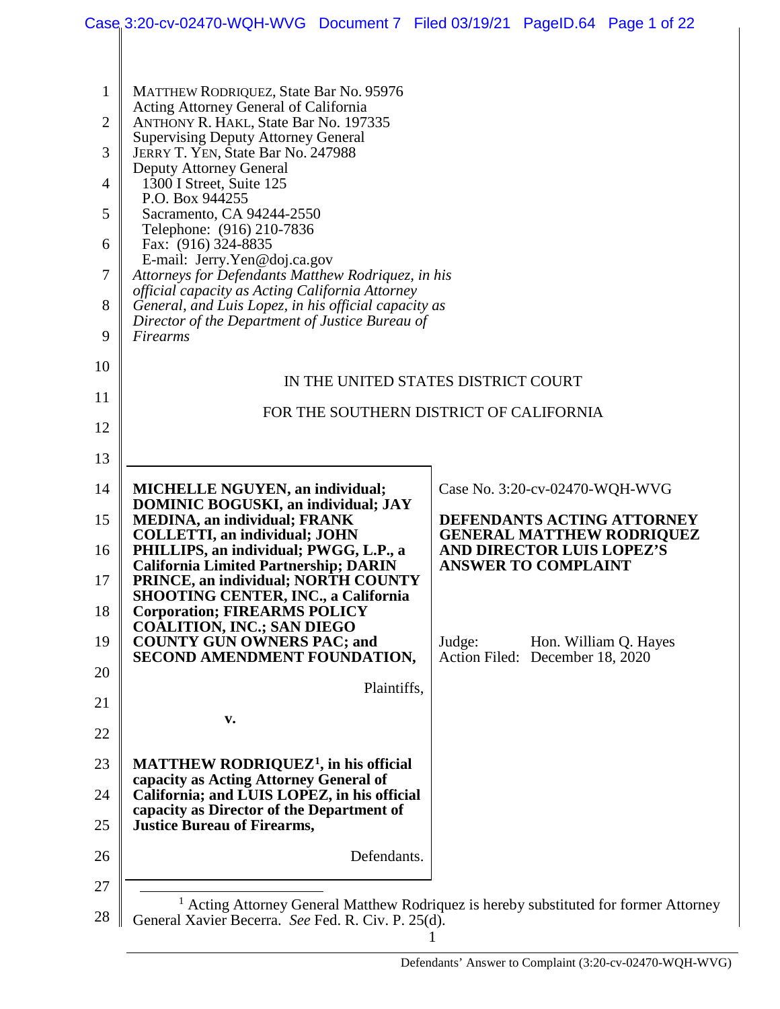<span id="page-0-0"></span>

|                | Case 3:20-cv-02470-WQH-WVG Document 7 Filed 03/19/21 PageID.64 Page 1 of 22                                                                            |             |                                         |                                 |                                  |
|----------------|--------------------------------------------------------------------------------------------------------------------------------------------------------|-------------|-----------------------------------------|---------------------------------|----------------------------------|
|                |                                                                                                                                                        |             |                                         |                                 |                                  |
| $\mathbf{1}$   | MATTHEW RODRIQUEZ, State Bar No. 95976                                                                                                                 |             |                                         |                                 |                                  |
| $\overline{2}$ | Acting Attorney General of California<br>ANTHONY R. HAKL, State Bar No. 197335                                                                         |             |                                         |                                 |                                  |
| 3              | <b>Supervising Deputy Attorney General</b><br>JERRY T. YEN, State Bar No. 247988                                                                       |             |                                         |                                 |                                  |
| $\overline{4}$ | <b>Deputy Attorney General</b><br>1300 I Street, Suite 125                                                                                             |             |                                         |                                 |                                  |
| 5              | P.O. Box 944255<br>Sacramento, CA 94244-2550                                                                                                           |             |                                         |                                 |                                  |
| 6              | Telephone: (916) 210-7836<br>Fax: (916) 324-8835                                                                                                       |             |                                         |                                 |                                  |
| 7              | E-mail: Jerry.Yen@doj.ca.gov<br>Attorneys for Defendants Matthew Rodriquez, in his                                                                     |             |                                         |                                 |                                  |
| 8              | official capacity as Acting California Attorney<br>General, and Luis Lopez, in his official capacity as                                                |             |                                         |                                 |                                  |
| 9              | Director of the Department of Justice Bureau of<br>Firearms                                                                                            |             |                                         |                                 |                                  |
| 10             |                                                                                                                                                        |             |                                         |                                 |                                  |
| 11             |                                                                                                                                                        |             | IN THE UNITED STATES DISTRICT COURT     |                                 |                                  |
| 12             |                                                                                                                                                        |             | FOR THE SOUTHERN DISTRICT OF CALIFORNIA |                                 |                                  |
| 13             |                                                                                                                                                        |             |                                         |                                 |                                  |
| 14             | <b>MICHELLE NGUYEN, an individual;</b>                                                                                                                 |             |                                         | Case No. 3:20-cv-02470-WQH-WVG  |                                  |
| 15             | DOMINIC BOGUSKI, an individual; JAY<br><b>MEDINA, an individual; FRANK</b>                                                                             |             |                                         |                                 | DEFENDANTS ACTING ATTORNEY       |
| 16             | <b>COLLETTI, an individual; JOHN</b><br>PHILLIPS, an individual; PWGG, L.P., a                                                                         |             |                                         | AND DIRECTOR LUIS LOPEZ'S       | <b>GENERAL MATTHEW RODRIQUEZ</b> |
| 17             | <b>California Limited Partnership; DARIN</b><br>PRINCE, an individual; NORTH COUNTY                                                                    |             |                                         | <b>ANSWER TO COMPLAINT</b>      |                                  |
| 18             | <b>SHOOTING CENTER, INC., a California</b><br><b>Corporation; FIREARMS POLICY</b>                                                                      |             |                                         |                                 |                                  |
| 19             | <b>COALITION, INC.; SAN DIEGO</b><br><b>COUNTY GUN OWNERS PAC; and</b>                                                                                 |             | Judge:                                  |                                 | Hon. William Q. Hayes            |
| 20             | SECOND AMENDMENT FOUNDATION,                                                                                                                           |             |                                         | Action Filed: December 18, 2020 |                                  |
| 21             |                                                                                                                                                        | Plaintiffs, |                                         |                                 |                                  |
| 22             | v.                                                                                                                                                     |             |                                         |                                 |                                  |
| 23             | $MATTHEW$ RODRIQUEZ <sup>1</sup> , in his official                                                                                                     |             |                                         |                                 |                                  |
| 24             | capacity as Acting Attorney General of<br>California; and LUIS LOPEZ, in his official                                                                  |             |                                         |                                 |                                  |
| 25             | capacity as Director of the Department of<br><b>Justice Bureau of Firearms,</b>                                                                        |             |                                         |                                 |                                  |
| 26             |                                                                                                                                                        | Defendants. |                                         |                                 |                                  |
| 27             |                                                                                                                                                        |             |                                         |                                 |                                  |
| 28             | <sup>1</sup> Acting Attorney General Matthew Rodriquez is hereby substituted for former Attorney<br>General Xavier Becerra. See Fed. R. Civ. P. 25(d). |             |                                         |                                 |                                  |
|                |                                                                                                                                                        |             |                                         |                                 |                                  |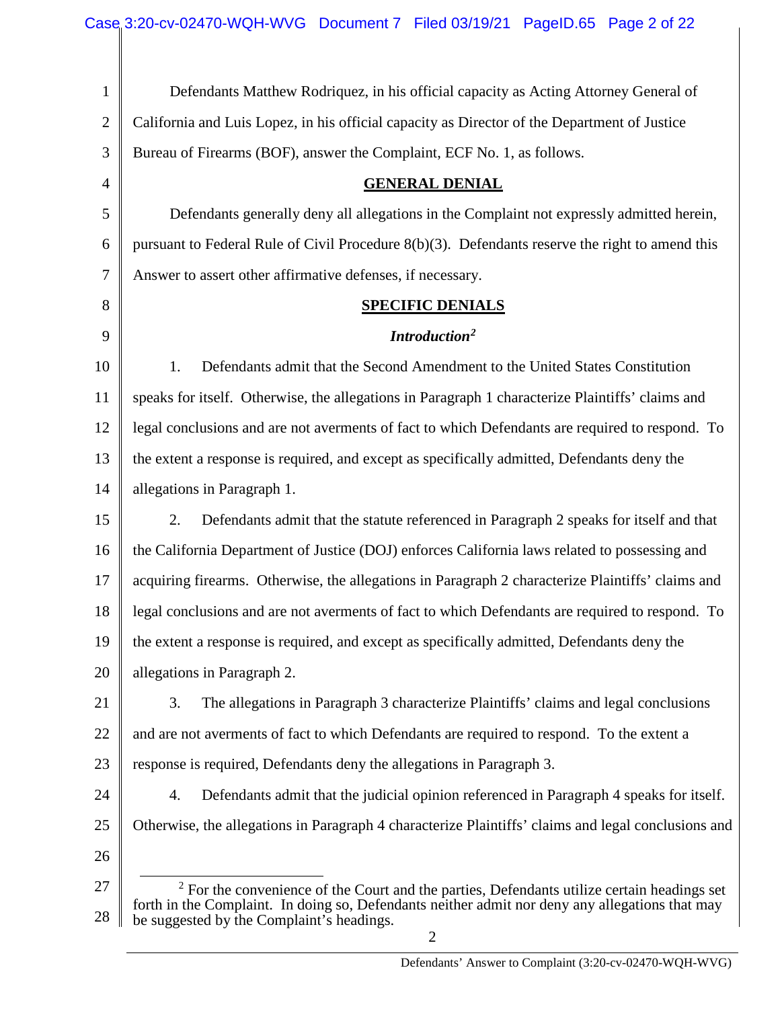<span id="page-1-0"></span>

| $\mathbf{1}$   | Defendants Matthew Rodriquez, in his official capacity as Acting Attorney General of                                                         |
|----------------|----------------------------------------------------------------------------------------------------------------------------------------------|
| $\overline{2}$ | California and Luis Lopez, in his official capacity as Director of the Department of Justice                                                 |
| 3              | Bureau of Firearms (BOF), answer the Complaint, ECF No. 1, as follows.                                                                       |
| $\overline{4}$ | <b>GENERAL DENIAL</b>                                                                                                                        |
| 5              | Defendants generally deny all allegations in the Complaint not expressly admitted herein,                                                    |
| 6              | pursuant to Federal Rule of Civil Procedure $8(b)(3)$ . Defendants reserve the right to amend this                                           |
| 7              | Answer to assert other affirmative defenses, if necessary.                                                                                   |
| 8              | <b>SPECIFIC DENIALS</b>                                                                                                                      |
| 9              | Introduction <sup>2</sup>                                                                                                                    |
| 10             | 1.<br>Defendants admit that the Second Amendment to the United States Constitution                                                           |
| 11             | speaks for itself. Otherwise, the allegations in Paragraph 1 characterize Plaintiffs' claims and                                             |
| 12             | legal conclusions and are not averments of fact to which Defendants are required to respond. To                                              |
| 13             | the extent a response is required, and except as specifically admitted, Defendants deny the                                                  |
| 14             | allegations in Paragraph 1.                                                                                                                  |
| 15             | 2.<br>Defendants admit that the statute referenced in Paragraph 2 speaks for itself and that                                                 |
| 16             | the California Department of Justice (DOJ) enforces California laws related to possessing and                                                |
| 17             | acquiring firearms. Otherwise, the allegations in Paragraph 2 characterize Plaintiffs' claims and                                            |
| 18             | legal conclusions and are not averments of fact to which Defendants are required to respond. To                                              |
| 19             | the extent a response is required, and except as specifically admitted, Defendants deny the                                                  |
| 20             | allegations in Paragraph 2.                                                                                                                  |
| 21             | 3.<br>The allegations in Paragraph 3 characterize Plaintiffs' claims and legal conclusions                                                   |
| 22             | and are not averments of fact to which Defendants are required to respond. To the extent a                                                   |
| 23             | response is required, Defendants deny the allegations in Paragraph 3.                                                                        |
| 24             | Defendants admit that the judicial opinion referenced in Paragraph 4 speaks for itself.<br>4.                                                |
| 25             | Otherwise, the allegations in Paragraph 4 characterize Plaintiffs' claims and legal conclusions and                                          |
| 26             |                                                                                                                                              |
| 27             | $2$ For the convenience of the Court and the parties, Defendants utilize certain headings set                                                |
| 28             | forth in the Complaint. In doing so, Defendants neither admit nor deny any allegations that may<br>be suggested by the Complaint's headings. |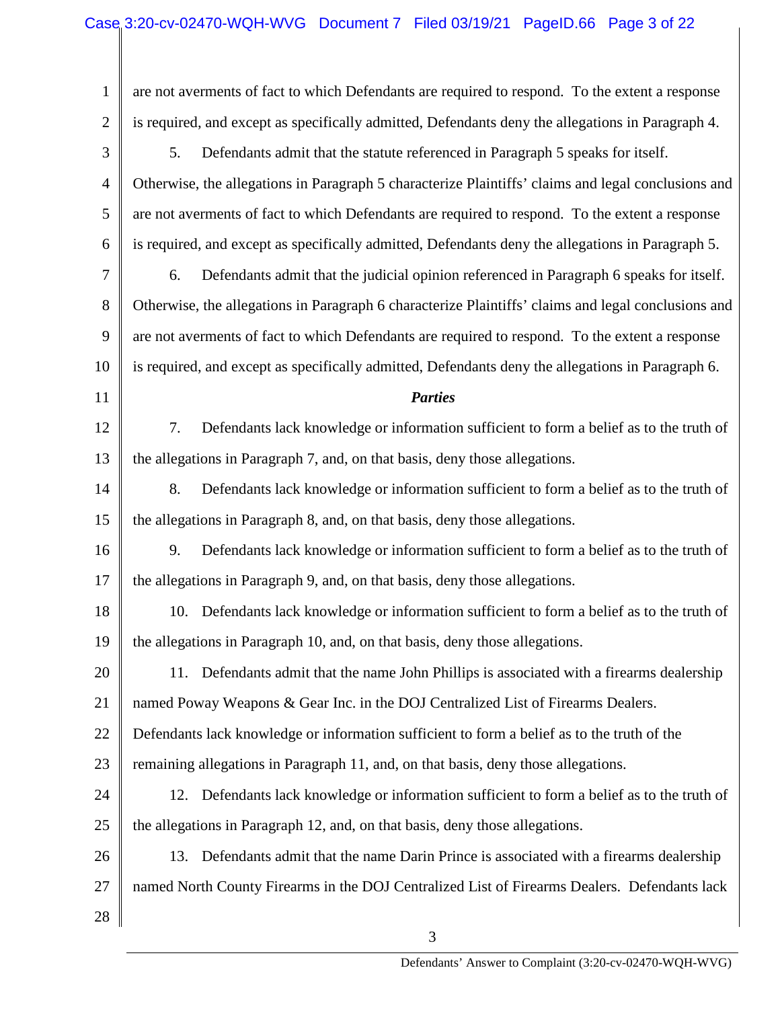| 1              | are not averments of fact to which Defendants are required to respond. To the extent a response     |
|----------------|-----------------------------------------------------------------------------------------------------|
| $\overline{2}$ | is required, and except as specifically admitted, Defendants deny the allegations in Paragraph 4.   |
| 3              | 5.<br>Defendants admit that the statute referenced in Paragraph 5 speaks for itself.                |
| $\overline{4}$ | Otherwise, the allegations in Paragraph 5 characterize Plaintiffs' claims and legal conclusions and |
| 5              | are not averments of fact to which Defendants are required to respond. To the extent a response     |
| 6              | is required, and except as specifically admitted, Defendants deny the allegations in Paragraph 5.   |
| 7              | Defendants admit that the judicial opinion referenced in Paragraph 6 speaks for itself.<br>6.       |
| 8              | Otherwise, the allegations in Paragraph 6 characterize Plaintiffs' claims and legal conclusions and |
| 9              | are not averments of fact to which Defendants are required to respond. To the extent a response     |
| 10             | is required, and except as specifically admitted, Defendants deny the allegations in Paragraph 6.   |
| 11             | <b>Parties</b>                                                                                      |
| 12             | 7.<br>Defendants lack knowledge or information sufficient to form a belief as to the truth of       |
| 13             | the allegations in Paragraph 7, and, on that basis, deny those allegations.                         |
| 14             | 8.<br>Defendants lack knowledge or information sufficient to form a belief as to the truth of       |
| 15             | the allegations in Paragraph 8, and, on that basis, deny those allegations.                         |
| 16             | 9.<br>Defendants lack knowledge or information sufficient to form a belief as to the truth of       |
| 17             | the allegations in Paragraph 9, and, on that basis, deny those allegations.                         |
| 18             | Defendants lack knowledge or information sufficient to form a belief as to the truth of<br>10.      |
| 19             | the allegations in Paragraph 10, and, on that basis, deny those allegations.                        |
| 20             | Defendants admit that the name John Phillips is associated with a firearms dealership<br>11.        |
| 21             | named Poway Weapons & Gear Inc. in the DOJ Centralized List of Firearms Dealers.                    |
| 22             | Defendants lack knowledge or information sufficient to form a belief as to the truth of the         |
| 23             | remaining allegations in Paragraph 11, and, on that basis, deny those allegations.                  |
| 24             | Defendants lack knowledge or information sufficient to form a belief as to the truth of<br>12.      |
| 25             | the allegations in Paragraph 12, and, on that basis, deny those allegations.                        |
| 26             | Defendants admit that the name Darin Prince is associated with a firearms dealership<br>13.         |
| 27             | named North County Firearms in the DOJ Centralized List of Firearms Dealers. Defendants lack        |
| 28             |                                                                                                     |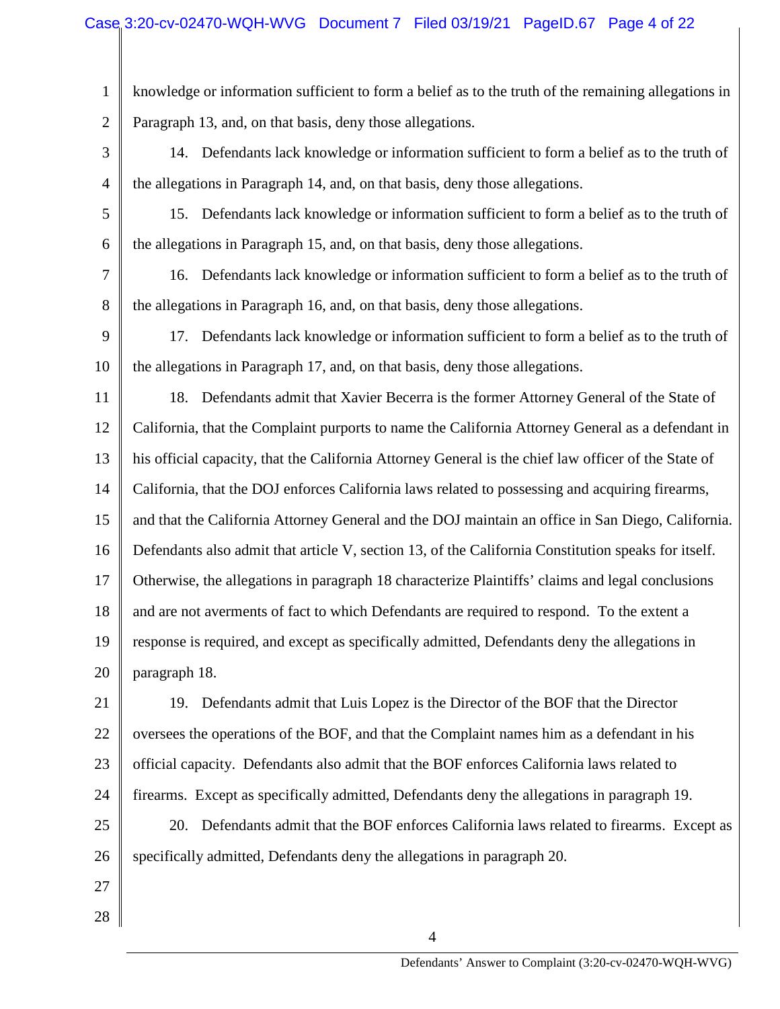## Case 3:20-cv-02470-WQH-WVG Document 7 Filed 03/19/21 PageID.67 Page 4 of 22

| 1   knowledge or information sufficient to form a belief as to the truth of the remaining allegations in |
|----------------------------------------------------------------------------------------------------------|
| 2   Paragraph 13, and, on that basis, deny those allegations.                                            |

- 3 4 14. Defendants lack knowledge or information sufficient to form a belief as to the truth of the allegations in Paragraph 14, and, on that basis, deny those allegations.
- 5 6 15. Defendants lack knowledge or information sufficient to form a belief as to the truth of the allegations in Paragraph 15, and, on that basis, deny those allegations.
- 7 8

16. Defendants lack knowledge or information sufficient to form a belief as to the truth of the allegations in Paragraph 16, and, on that basis, deny those allegations.

9 10 17. Defendants lack knowledge or information sufficient to form a belief as to the truth of the allegations in Paragraph 17, and, on that basis, deny those allegations.

11 12 13 14 15 16 17 18 19 20 18. Defendants admit that Xavier Becerra is the former Attorney General of the State of California, that the Complaint purports to name the California Attorney General as a defendant in his official capacity, that the California Attorney General is the chief law officer of the State of California, that the DOJ enforces California laws related to possessing and acquiring firearms, and that the California Attorney General and the DOJ maintain an office in San Diego, California. Defendants also admit that article V, section 13, of the California Constitution speaks for itself. Otherwise, the allegations in paragraph 18 characterize Plaintiffs' claims and legal conclusions and are not averments of fact to which Defendants are required to respond. To the extent a response is required, and except as specifically admitted, Defendants deny the allegations in paragraph 18.

21 22 23 24 25 19. Defendants admit that Luis Lopez is the Director of the BOF that the Director oversees the operations of the BOF, and that the Complaint names him as a defendant in his official capacity. Defendants also admit that the BOF enforces California laws related to firearms. Except as specifically admitted, Defendants deny the allegations in paragraph 19. 20. Defendants admit that the BOF enforces California laws related to firearms. Except as

specifically admitted, Defendants deny the allegations in paragraph 20.

27 28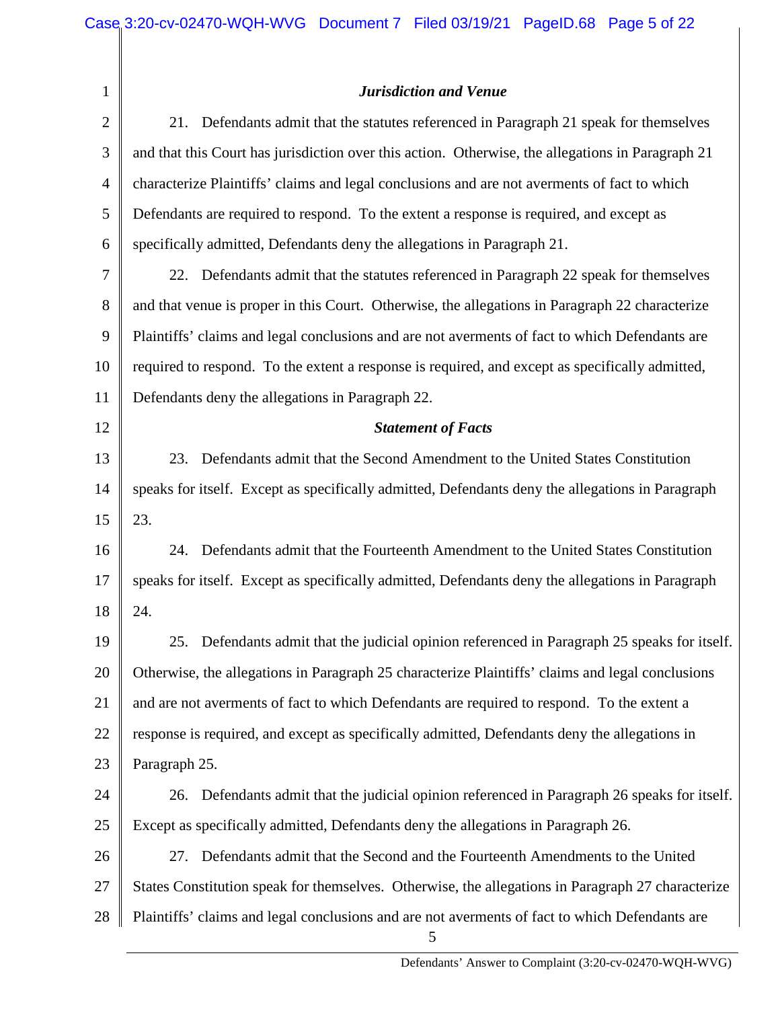| $\mathbf{1}$   | <b>Jurisdiction and Venue</b>                                                                       |
|----------------|-----------------------------------------------------------------------------------------------------|
| $\mathfrak{2}$ | Defendants admit that the statutes referenced in Paragraph 21 speak for themselves<br>21.           |
| 3              | and that this Court has jurisdiction over this action. Otherwise, the allegations in Paragraph 21   |
| $\overline{4}$ | characterize Plaintiffs' claims and legal conclusions and are not averments of fact to which        |
| 5              | Defendants are required to respond. To the extent a response is required, and except as             |
| 6              | specifically admitted, Defendants deny the allegations in Paragraph 21.                             |
| 7              | 22. Defendants admit that the statutes referenced in Paragraph 22 speak for themselves              |
| 8              | and that venue is proper in this Court. Otherwise, the allegations in Paragraph 22 characterize     |
| 9              | Plaintiffs' claims and legal conclusions and are not averments of fact to which Defendants are      |
| 10             | required to respond. To the extent a response is required, and except as specifically admitted,     |
| 11             | Defendants deny the allegations in Paragraph 22.                                                    |
| 12             | <b>Statement of Facts</b>                                                                           |
| 13             | Defendants admit that the Second Amendment to the United States Constitution<br>23.                 |
| 14             | speaks for itself. Except as specifically admitted, Defendants deny the allegations in Paragraph    |
| 15             | 23.                                                                                                 |
| 16             | Defendants admit that the Fourteenth Amendment to the United States Constitution<br>24.             |
| 17             | speaks for itself. Except as specifically admitted, Defendants deny the allegations in Paragraph    |
| 18             | 24.                                                                                                 |
| 19             | Defendants admit that the judicial opinion referenced in Paragraph 25 speaks for itself.<br>25.     |
| 20             | Otherwise, the allegations in Paragraph 25 characterize Plaintiffs' claims and legal conclusions    |
| 21             | and are not averments of fact to which Defendants are required to respond. To the extent a          |
| 22             | response is required, and except as specifically admitted, Defendants deny the allegations in       |
| 23             | Paragraph 25.                                                                                       |
| 24             | Defendants admit that the judicial opinion referenced in Paragraph 26 speaks for itself.<br>26.     |
| 25             | Except as specifically admitted, Defendants deny the allegations in Paragraph 26.                   |
| 26             | Defendants admit that the Second and the Fourteenth Amendments to the United<br>27.                 |
| 27             | States Constitution speak for themselves. Otherwise, the allegations in Paragraph 27 characterize   |
| 28             | Plaintiffs' claims and legal conclusions and are not averments of fact to which Defendants are<br>5 |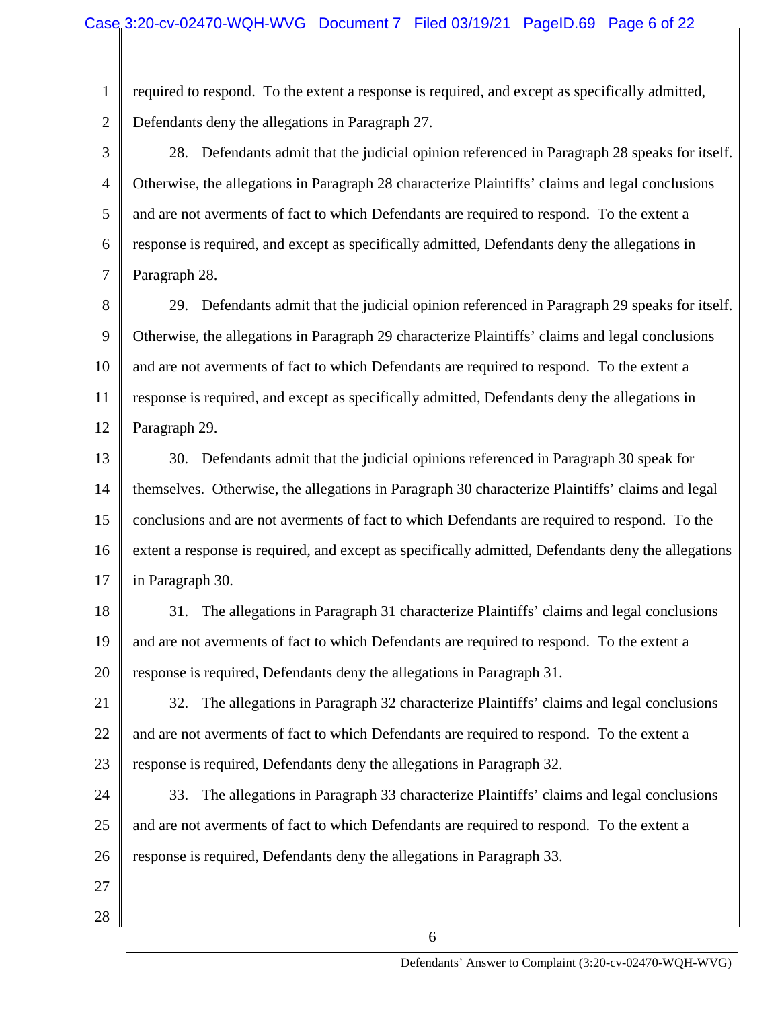1 2 required to respond. To the extent a response is required, and except as specifically admitted, Defendants deny the allegations in Paragraph 27.

3 4 5 6 7 28. Defendants admit that the judicial opinion referenced in Paragraph 28 speaks for itself. Otherwise, the allegations in Paragraph 28 characterize Plaintiffs' claims and legal conclusions and are not averments of fact to which Defendants are required to respond. To the extent a response is required, and except as specifically admitted, Defendants deny the allegations in Paragraph 28.

8 9 10 11 12 29. Defendants admit that the judicial opinion referenced in Paragraph 29 speaks for itself. Otherwise, the allegations in Paragraph 29 characterize Plaintiffs' claims and legal conclusions and are not averments of fact to which Defendants are required to respond. To the extent a response is required, and except as specifically admitted, Defendants deny the allegations in Paragraph 29.

13 14 15 16 17 30. Defendants admit that the judicial opinions referenced in Paragraph 30 speak for themselves. Otherwise, the allegations in Paragraph 30 characterize Plaintiffs' claims and legal conclusions and are not averments of fact to which Defendants are required to respond. To the extent a response is required, and except as specifically admitted, Defendants deny the allegations in Paragraph 30.

18 19 20 31. The allegations in Paragraph 31 characterize Plaintiffs' claims and legal conclusions and are not averments of fact to which Defendants are required to respond. To the extent a response is required, Defendants deny the allegations in Paragraph 31.

21 22 23 32. The allegations in Paragraph 32 characterize Plaintiffs' claims and legal conclusions and are not averments of fact to which Defendants are required to respond. To the extent a response is required, Defendants deny the allegations in Paragraph 32.

24 25 26 33. The allegations in Paragraph 33 characterize Plaintiffs' claims and legal conclusions and are not averments of fact to which Defendants are required to respond. To the extent a response is required, Defendants deny the allegations in Paragraph 33.

- 27
- 28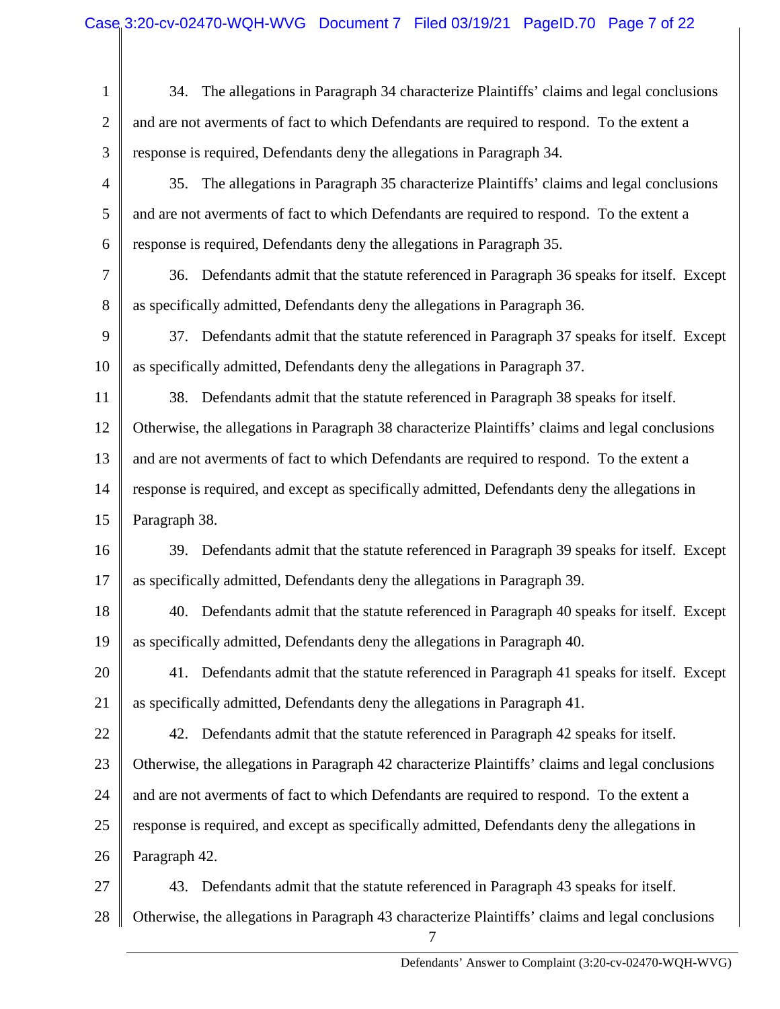| $\mathbf{1}$   | The allegations in Paragraph 34 characterize Plaintiffs' claims and legal conclusions<br>34.     |
|----------------|--------------------------------------------------------------------------------------------------|
| $\overline{2}$ | and are not averments of fact to which Defendants are required to respond. To the extent a       |
| 3              | response is required, Defendants deny the allegations in Paragraph 34.                           |
| $\overline{4}$ | The allegations in Paragraph 35 characterize Plaintiffs' claims and legal conclusions<br>35.     |
| 5              | and are not averments of fact to which Defendants are required to respond. To the extent a       |
| 6              | response is required, Defendants deny the allegations in Paragraph 35.                           |
| 7              | Defendants admit that the statute referenced in Paragraph 36 speaks for itself. Except<br>36.    |
| 8              | as specifically admitted, Defendants deny the allegations in Paragraph 36.                       |
| 9              | Defendants admit that the statute referenced in Paragraph 37 speaks for itself. Except<br>37.    |
| 10             | as specifically admitted, Defendants deny the allegations in Paragraph 37.                       |
| 11             | Defendants admit that the statute referenced in Paragraph 38 speaks for itself.<br>38.           |
| 12             | Otherwise, the allegations in Paragraph 38 characterize Plaintiffs' claims and legal conclusions |
| 13             | and are not averments of fact to which Defendants are required to respond. To the extent a       |
| 14             | response is required, and except as specifically admitted, Defendants deny the allegations in    |
| 15             | Paragraph 38.                                                                                    |
| 16             | Defendants admit that the statute referenced in Paragraph 39 speaks for itself. Except<br>39.    |
| 17             | as specifically admitted, Defendants deny the allegations in Paragraph 39.                       |
| 18             | Defendants admit that the statute referenced in Paragraph 40 speaks for itself. Except<br>40.    |
| 19             | as specifically admitted, Defendants deny the allegations in Paragraph 40.                       |
| 20             | 41. Defendants admit that the statute referenced in Paragraph 41 speaks for itself. Except       |
| 21             | as specifically admitted, Defendants deny the allegations in Paragraph 41.                       |
| 22             | 42. Defendants admit that the statute referenced in Paragraph 42 speaks for itself.              |
| 23             | Otherwise, the allegations in Paragraph 42 characterize Plaintiffs' claims and legal conclusions |
| 24             | and are not averments of fact to which Defendants are required to respond. To the extent a       |
| 25             | response is required, and except as specifically admitted, Defendants deny the allegations in    |
| 26             | Paragraph 42.                                                                                    |
| 27             | Defendants admit that the statute referenced in Paragraph 43 speaks for itself.<br>43.           |
|                |                                                                                                  |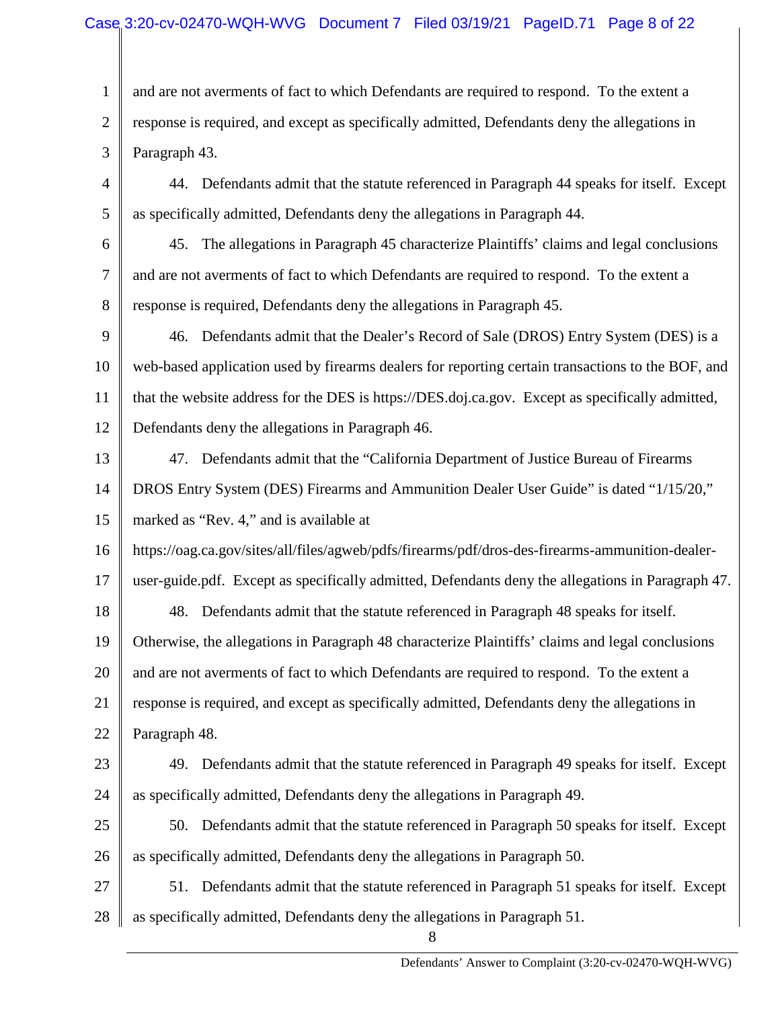1 2 3 and are not averments of fact to which Defendants are required to respond. To the extent a response is required, and except as specifically admitted, Defendants deny the allegations in Paragraph 43.

- 4 5 44. Defendants admit that the statute referenced in Paragraph 44 speaks for itself. Except as specifically admitted, Defendants deny the allegations in Paragraph 44.
- 6 7 8 45. The allegations in Paragraph 45 characterize Plaintiffs' claims and legal conclusions and are not averments of fact to which Defendants are required to respond. To the extent a response is required, Defendants deny the allegations in Paragraph 45.
- 9 10 11 12 46. Defendants admit that the Dealer's Record of Sale (DROS) Entry System (DES) is a web-based application used by firearms dealers for reporting certain transactions to the BOF, and that the website address for the DES is https://DES.doj.ca.gov. Except as specifically admitted, Defendants deny the allegations in Paragraph 46.
- 13 14 15 47. Defendants admit that the "California Department of Justice Bureau of Firearms DROS Entry System (DES) Firearms and Ammunition Dealer User Guide" is dated "1/15/20," marked as "Rev. 4," and is available at
- 16 https://oag.ca.gov/sites/all/files/agweb/pdfs/firearms/pdf/dros-des-firearms-ammunition-dealer-
- 17 user-guide.pdf. Except as specifically admitted, Defendants deny the allegations in Paragraph 47.
- 18 19 20 21 22 48. Defendants admit that the statute referenced in Paragraph 48 speaks for itself. Otherwise, the allegations in Paragraph 48 characterize Plaintiffs' claims and legal conclusions and are not averments of fact to which Defendants are required to respond. To the extent a response is required, and except as specifically admitted, Defendants deny the allegations in
- 23

Paragraph 48.

- 24 49. Defendants admit that the statute referenced in Paragraph 49 speaks for itself. Except as specifically admitted, Defendants deny the allegations in Paragraph 49.
- 25 26 50. Defendants admit that the statute referenced in Paragraph 50 speaks for itself. Except as specifically admitted, Defendants deny the allegations in Paragraph 50.
- 27 28 51. Defendants admit that the statute referenced in Paragraph 51 speaks for itself. Except as specifically admitted, Defendants deny the allegations in Paragraph 51.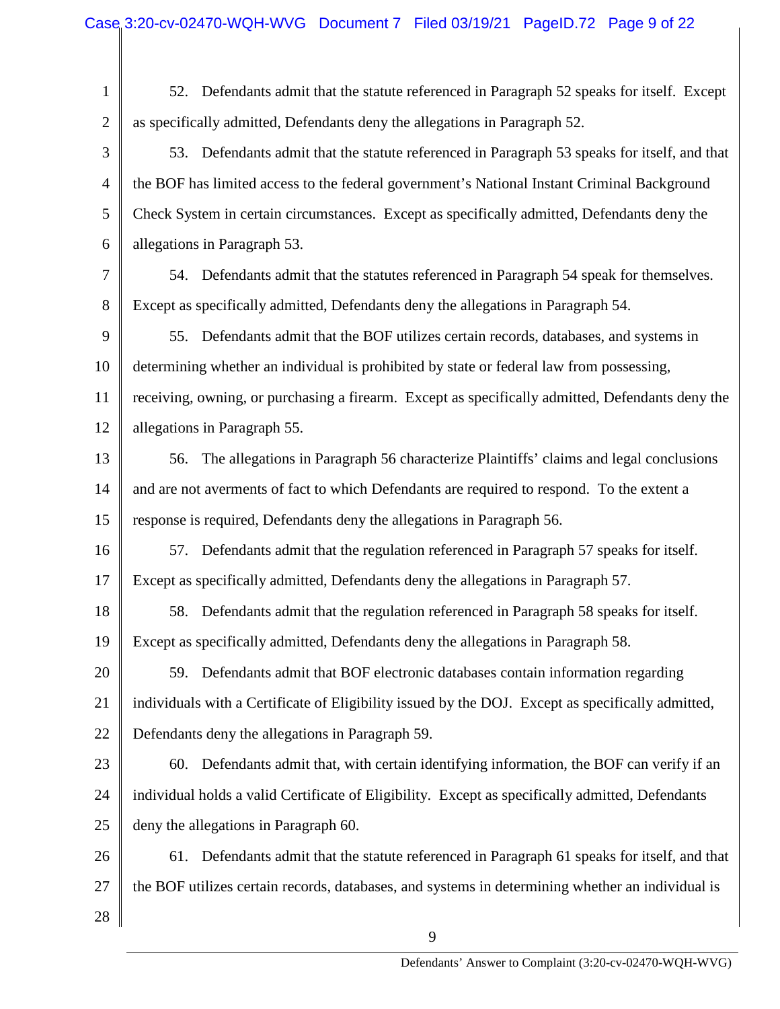| $\mathbf{1}$   | 52. Defendants admit that the statute referenced in Paragraph 52 speaks for itself. Except        |
|----------------|---------------------------------------------------------------------------------------------------|
| $\overline{2}$ | as specifically admitted, Defendants deny the allegations in Paragraph 52.                        |
| 3              | 53. Defendants admit that the statute referenced in Paragraph 53 speaks for itself, and that      |
| $\overline{4}$ | the BOF has limited access to the federal government's National Instant Criminal Background       |
| 5              | Check System in certain circumstances. Except as specifically admitted, Defendants deny the       |
| 6              | allegations in Paragraph 53.                                                                      |
| 7              | 54. Defendants admit that the statutes referenced in Paragraph 54 speak for themselves.           |
| 8              | Except as specifically admitted, Defendants deny the allegations in Paragraph 54.                 |
| 9              | 55. Defendants admit that the BOF utilizes certain records, databases, and systems in             |
| 10             | determining whether an individual is prohibited by state or federal law from possessing,          |
| 11             | receiving, owning, or purchasing a firearm. Except as specifically admitted, Defendants deny the  |
| 12             | allegations in Paragraph 55.                                                                      |
| 13             | The allegations in Paragraph 56 characterize Plaintiffs' claims and legal conclusions<br>56.      |
| 14             | and are not averments of fact to which Defendants are required to respond. To the extent a        |
| 15             | response is required, Defendants deny the allegations in Paragraph 56.                            |
| 16             | 57. Defendants admit that the regulation referenced in Paragraph 57 speaks for itself.            |
| 17             | Except as specifically admitted, Defendants deny the allegations in Paragraph 57.                 |
| 18             | 58. Defendants admit that the regulation referenced in Paragraph 58 speaks for itself.            |
| 19             | Except as specifically admitted, Defendants deny the allegations in Paragraph 58.                 |
| 20             | 59. Defendants admit that BOF electronic databases contain information regarding                  |
| 21             | individuals with a Certificate of Eligibility issued by the DOJ. Except as specifically admitted, |
| 22             | Defendants deny the allegations in Paragraph 59.                                                  |
| 23             | 60. Defendants admit that, with certain identifying information, the BOF can verify if an         |
| 24             | individual holds a valid Certificate of Eligibility. Except as specifically admitted, Defendants  |
| 25             | deny the allegations in Paragraph 60.                                                             |
| 26             | 61. Defendants admit that the statute referenced in Paragraph 61 speaks for itself, and that      |
| 27             | the BOF utilizes certain records, databases, and systems in determining whether an individual is  |
| 28             |                                                                                                   |
|                | 9                                                                                                 |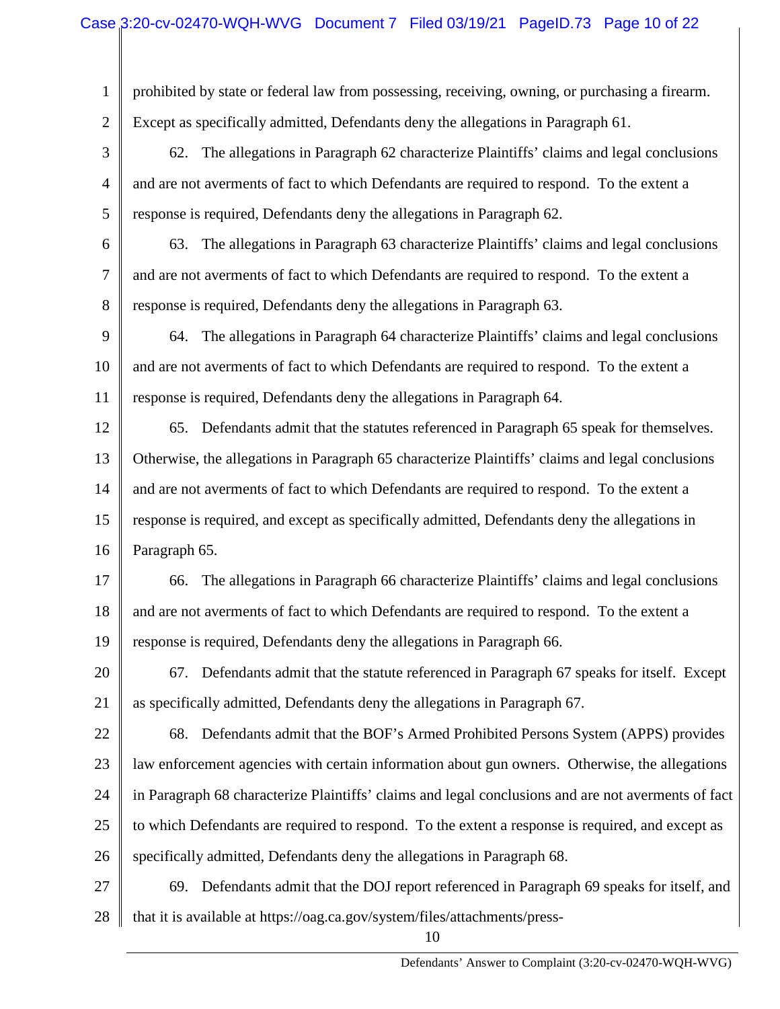| $\mathbf{1}$   | prohibited by state or federal law from possessing, receiving, owning, or purchasing a firearm.     |
|----------------|-----------------------------------------------------------------------------------------------------|
| $\overline{2}$ | Except as specifically admitted, Defendants deny the allegations in Paragraph 61.                   |
| 3              | The allegations in Paragraph 62 characterize Plaintiffs' claims and legal conclusions<br>62.        |
| $\overline{4}$ | and are not averments of fact to which Defendants are required to respond. To the extent a          |
| 5              | response is required, Defendants deny the allegations in Paragraph 62.                              |
| 6              | The allegations in Paragraph 63 characterize Plaintiffs' claims and legal conclusions<br>63.        |
| 7              | and are not averments of fact to which Defendants are required to respond. To the extent a          |
| 8              | response is required, Defendants deny the allegations in Paragraph 63.                              |
| 9              | The allegations in Paragraph 64 characterize Plaintiffs' claims and legal conclusions<br>64.        |
| 10             | and are not averments of fact to which Defendants are required to respond. To the extent a          |
| 11             | response is required, Defendants deny the allegations in Paragraph 64.                              |
| 12             | 65. Defendants admit that the statutes referenced in Paragraph 65 speak for themselves.             |
| 13             | Otherwise, the allegations in Paragraph 65 characterize Plaintiffs' claims and legal conclusions    |
| 14             | and are not averments of fact to which Defendants are required to respond. To the extent a          |
| 15             | response is required, and except as specifically admitted, Defendants deny the allegations in       |
| 16             | Paragraph 65.                                                                                       |
| 17             | The allegations in Paragraph 66 characterize Plaintiffs' claims and legal conclusions<br>66.        |
| 18             | and are not averments of fact to which Defendants are required to respond. To the extent a          |
| 19             | response is required, Defendants deny the allegations in Paragraph 66.                              |
| 20             | 67. Defendants admit that the statute referenced in Paragraph 67 speaks for itself. Except          |
| 21             | as specifically admitted, Defendants deny the allegations in Paragraph 67.                          |
| 22             | Defendants admit that the BOF's Armed Prohibited Persons System (APPS) provides<br>68.              |
| 23             | law enforcement agencies with certain information about gun owners. Otherwise, the allegations      |
| 24             | in Paragraph 68 characterize Plaintiffs' claims and legal conclusions and are not averments of fact |
| 25             | to which Defendants are required to respond. To the extent a response is required, and except as    |
| 26             | specifically admitted, Defendants deny the allegations in Paragraph 68.                             |
| 27             | 69. Defendants admit that the DOJ report referenced in Paragraph 69 speaks for itself, and          |
| 28             | that it is available at https://oag.ca.gov/system/files/attachments/press-                          |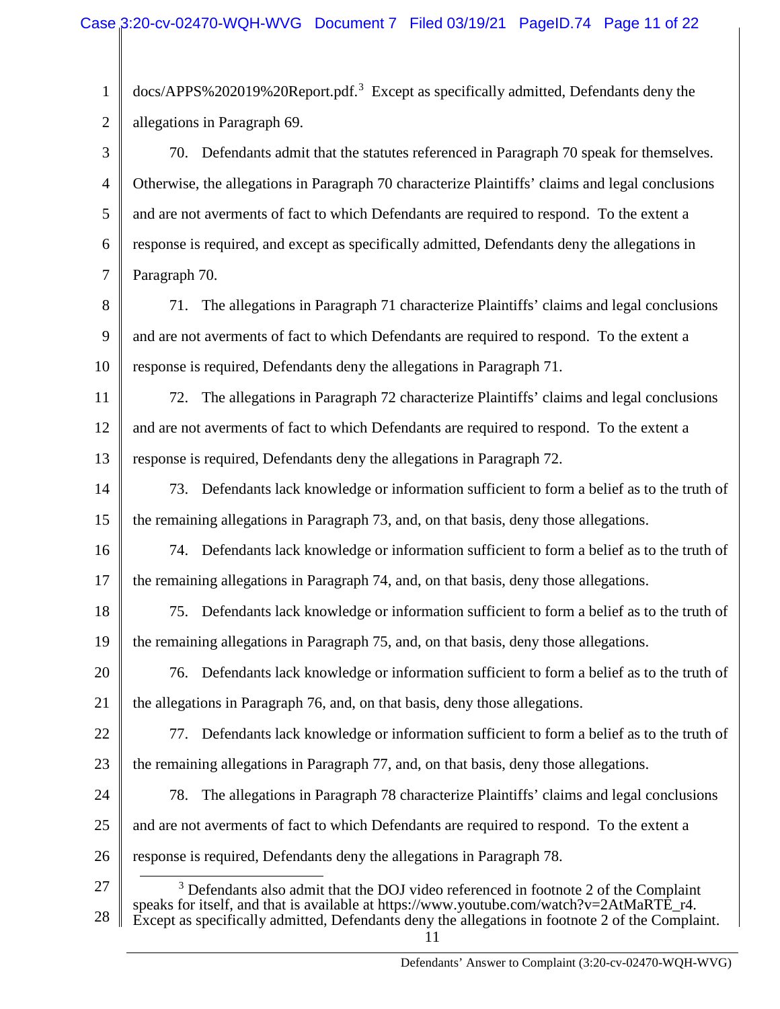<span id="page-10-0"></span>

| $\mathbf{1}$   | docs/APPS%202019%20Report.pdf. <sup>3</sup> Except as specifically admitted, Defendants deny the                                                                                                                                                                                             |
|----------------|----------------------------------------------------------------------------------------------------------------------------------------------------------------------------------------------------------------------------------------------------------------------------------------------|
| $\overline{2}$ | allegations in Paragraph 69.                                                                                                                                                                                                                                                                 |
| 3              | 70. Defendants admit that the statutes referenced in Paragraph 70 speak for themselves.                                                                                                                                                                                                      |
| $\overline{4}$ | Otherwise, the allegations in Paragraph 70 characterize Plaintiffs' claims and legal conclusions                                                                                                                                                                                             |
| 5              | and are not averments of fact to which Defendants are required to respond. To the extent a                                                                                                                                                                                                   |
| 6              | response is required, and except as specifically admitted, Defendants deny the allegations in                                                                                                                                                                                                |
| $\tau$         | Paragraph 70.                                                                                                                                                                                                                                                                                |
| 8              | The allegations in Paragraph 71 characterize Plaintiffs' claims and legal conclusions<br>71.                                                                                                                                                                                                 |
| 9              | and are not averments of fact to which Defendants are required to respond. To the extent a                                                                                                                                                                                                   |
| 10             | response is required, Defendants deny the allegations in Paragraph 71.                                                                                                                                                                                                                       |
| 11             | The allegations in Paragraph 72 characterize Plaintiffs' claims and legal conclusions<br>72.                                                                                                                                                                                                 |
| 12             | and are not averments of fact to which Defendants are required to respond. To the extent a                                                                                                                                                                                                   |
| 13             | response is required, Defendants deny the allegations in Paragraph 72.                                                                                                                                                                                                                       |
| 14             | 73. Defendants lack knowledge or information sufficient to form a belief as to the truth of                                                                                                                                                                                                  |
| 15             | the remaining allegations in Paragraph 73, and, on that basis, deny those allegations.                                                                                                                                                                                                       |
| 16             | 74. Defendants lack knowledge or information sufficient to form a belief as to the truth of                                                                                                                                                                                                  |
| 17             | the remaining allegations in Paragraph 74, and, on that basis, deny those allegations.                                                                                                                                                                                                       |
| 18             | Defendants lack knowledge or information sufficient to form a belief as to the truth of<br>75.                                                                                                                                                                                               |
| 19             | the remaining allegations in Paragraph 75, and, on that basis, deny those allegations.                                                                                                                                                                                                       |
| 20             | 76. Defendants lack knowledge or information sufficient to form a belief as to the truth of                                                                                                                                                                                                  |
| 21             | the allegations in Paragraph 76, and, on that basis, deny those allegations.                                                                                                                                                                                                                 |
| 22             | Defendants lack knowledge or information sufficient to form a belief as to the truth of<br>77.                                                                                                                                                                                               |
| 23             | the remaining allegations in Paragraph 77, and, on that basis, deny those allegations.                                                                                                                                                                                                       |
| 24             | 78.<br>The allegations in Paragraph 78 characterize Plaintiffs' claims and legal conclusions                                                                                                                                                                                                 |
| 25             | and are not averments of fact to which Defendants are required to respond. To the extent a                                                                                                                                                                                                   |
| 26             | response is required, Defendants deny the allegations in Paragraph 78.                                                                                                                                                                                                                       |
| 27<br>28       | $3$ Defendants also admit that the DOJ video referenced in footnote 2 of the Complaint<br>speaks for itself, and that is available at https://www.youtube.com/watch?v=2AtMaRTE_r4.<br>Except as specifically admitted, Defendants deny the allegations in footnote 2 of the Complaint.<br>11 |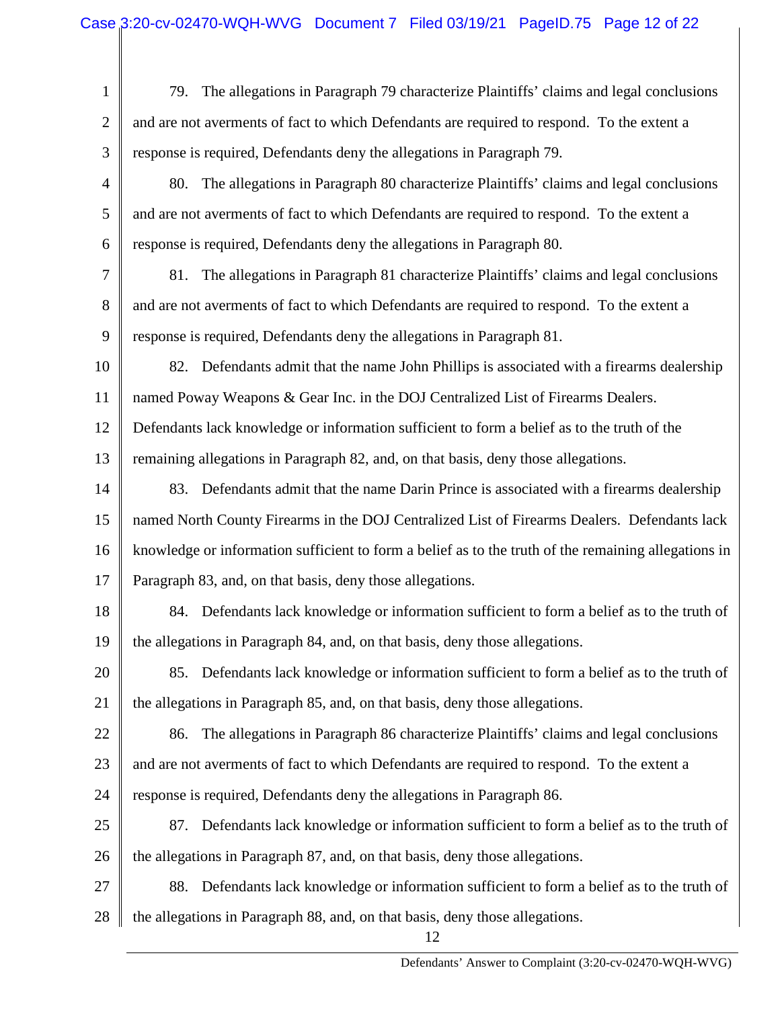| $\mathbf{1}$   | The allegations in Paragraph 79 characterize Plaintiffs' claims and legal conclusions<br>79.         |
|----------------|------------------------------------------------------------------------------------------------------|
| $\overline{2}$ | and are not averments of fact to which Defendants are required to respond. To the extent a           |
| 3              | response is required, Defendants deny the allegations in Paragraph 79.                               |
| $\overline{4}$ | The allegations in Paragraph 80 characterize Plaintiffs' claims and legal conclusions<br>80.         |
| 5              | and are not averments of fact to which Defendants are required to respond. To the extent a           |
| 6              | response is required, Defendants deny the allegations in Paragraph 80.                               |
| 7              | The allegations in Paragraph 81 characterize Plaintiffs' claims and legal conclusions<br>81.         |
| 8              | and are not averments of fact to which Defendants are required to respond. To the extent a           |
| 9              | response is required, Defendants deny the allegations in Paragraph 81.                               |
| 10             | Defendants admit that the name John Phillips is associated with a firearms dealership<br>82.         |
| 11             | named Poway Weapons & Gear Inc. in the DOJ Centralized List of Firearms Dealers.                     |
| 12             | Defendants lack knowledge or information sufficient to form a belief as to the truth of the          |
| 13             | remaining allegations in Paragraph 82, and, on that basis, deny those allegations.                   |
| 14             | 83. Defendants admit that the name Darin Prince is associated with a firearms dealership             |
| 15             | named North County Firearms in the DOJ Centralized List of Firearms Dealers. Defendants lack         |
| 16             | knowledge or information sufficient to form a belief as to the truth of the remaining allegations in |
| 17             | Paragraph 83, and, on that basis, deny those allegations.                                            |
| 18             | 84. Defendants lack knowledge or information sufficient to form a belief as to the truth of          |
| 19             | the allegations in Paragraph 84, and, on that basis, deny those allegations.                         |
| 20             | 85. Defendants lack knowledge or information sufficient to form a belief as to the truth of          |
| 21             | the allegations in Paragraph 85, and, on that basis, deny those allegations.                         |
| 22             | The allegations in Paragraph 86 characterize Plaintiffs' claims and legal conclusions<br>86.         |
| 23             | and are not averments of fact to which Defendants are required to respond. To the extent a           |
| 24             | response is required, Defendants deny the allegations in Paragraph 86.                               |
| 25             | Defendants lack knowledge or information sufficient to form a belief as to the truth of<br>87.       |
| 26             | the allegations in Paragraph 87, and, on that basis, deny those allegations.                         |
| 27             | Defendants lack knowledge or information sufficient to form a belief as to the truth of<br>88.       |
| 28             | the allegations in Paragraph 88, and, on that basis, deny those allegations.<br>12                   |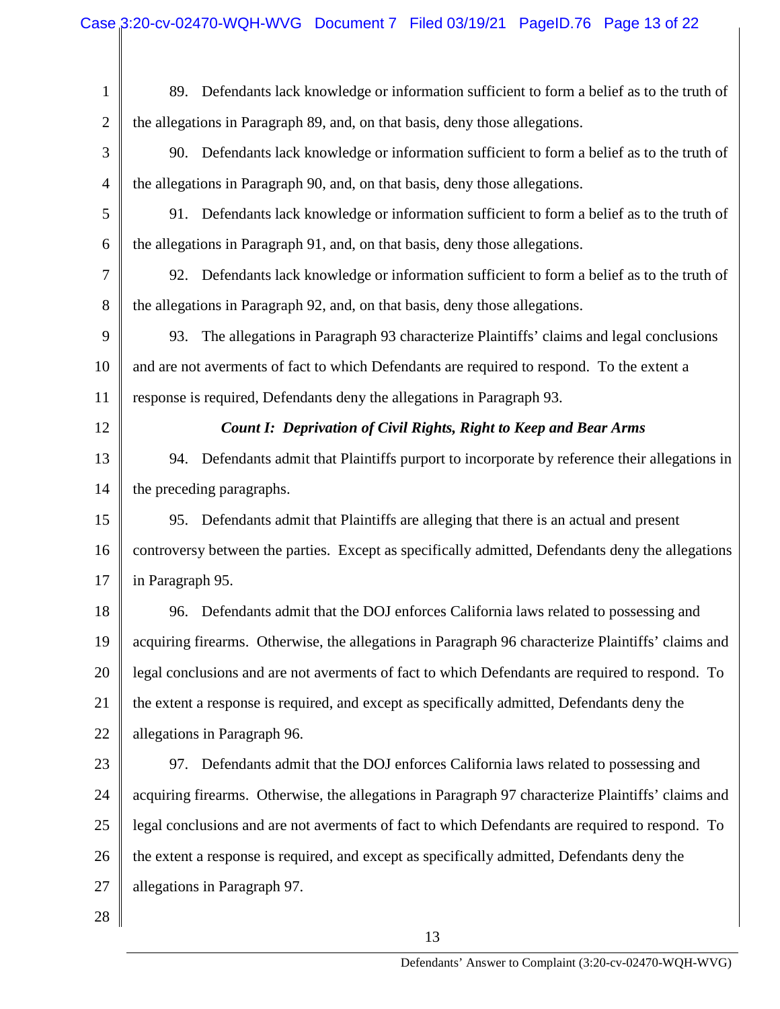| $\mathbf{1}$   | 89. Defendants lack knowledge or information sufficient to form a belief as to the truth of        |
|----------------|----------------------------------------------------------------------------------------------------|
| $\overline{2}$ | the allegations in Paragraph 89, and, on that basis, deny those allegations.                       |
| 3              | 90. Defendants lack knowledge or information sufficient to form a belief as to the truth of        |
| $\overline{4}$ | the allegations in Paragraph 90, and, on that basis, deny those allegations.                       |
| 5              | 91. Defendants lack knowledge or information sufficient to form a belief as to the truth of        |
| 6              | the allegations in Paragraph 91, and, on that basis, deny those allegations.                       |
| 7              | 92. Defendants lack knowledge or information sufficient to form a belief as to the truth of        |
| 8              | the allegations in Paragraph 92, and, on that basis, deny those allegations.                       |
| 9              | The allegations in Paragraph 93 characterize Plaintiffs' claims and legal conclusions<br>93.       |
| 10             | and are not averments of fact to which Defendants are required to respond. To the extent a         |
| 11             | response is required, Defendants deny the allegations in Paragraph 93.                             |
| 12             | <b>Count I: Deprivation of Civil Rights, Right to Keep and Bear Arms</b>                           |
| 13             | 94. Defendants admit that Plaintiffs purport to incorporate by reference their allegations in      |
| 14             | the preceding paragraphs.                                                                          |
| 15             | 95. Defendants admit that Plaintiffs are alleging that there is an actual and present              |
| 16             | controversy between the parties. Except as specifically admitted, Defendants deny the allegations  |
| 17             | in Paragraph 95.                                                                                   |
| 18             | 96. Defendants admit that the DOJ enforces California laws related to possessing and               |
| 19             | acquiring firearms. Otherwise, the allegations in Paragraph 96 characterize Plaintiffs' claims and |
| 20             | legal conclusions and are not averments of fact to which Defendants are required to respond. To    |
| 21             | the extent a response is required, and except as specifically admitted, Defendants deny the        |
| 22             | allegations in Paragraph 96.                                                                       |
| 23             | 97. Defendants admit that the DOJ enforces California laws related to possessing and               |
| 24             | acquiring firearms. Otherwise, the allegations in Paragraph 97 characterize Plaintiffs' claims and |
| 25             | legal conclusions and are not averments of fact to which Defendants are required to respond. To    |
| 26             | the extent a response is required, and except as specifically admitted, Defendants deny the        |
| 27             | allegations in Paragraph 97.                                                                       |
| 28             |                                                                                                    |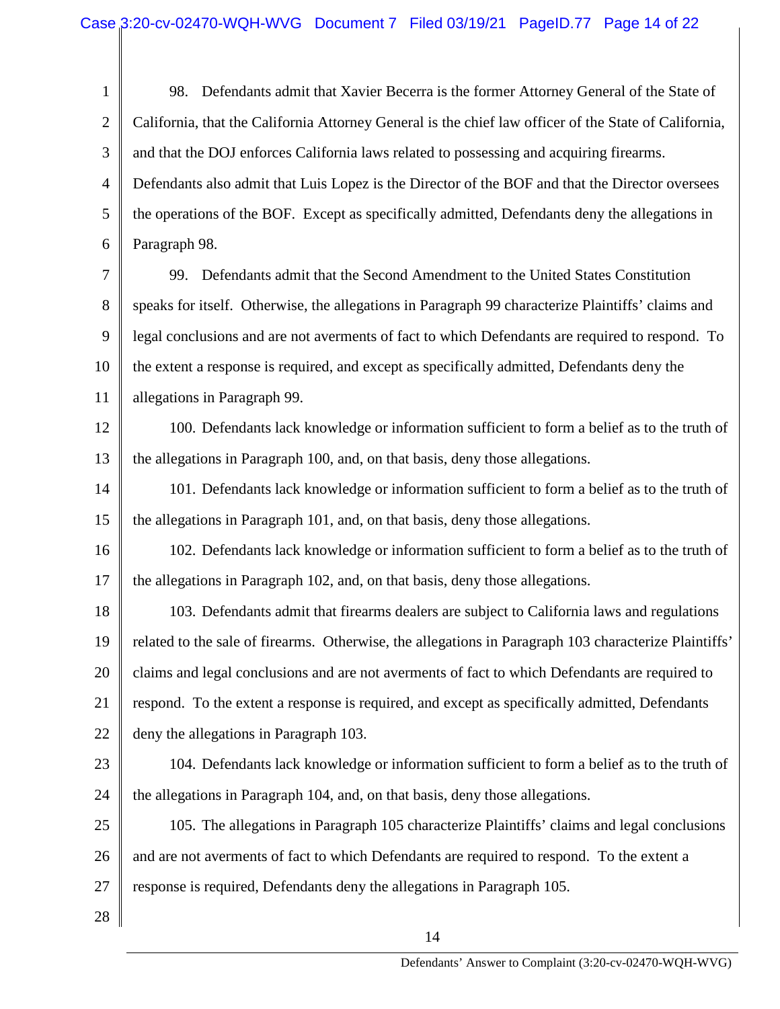1 2 3 4 5 6 7 8 98. Defendants admit that Xavier Becerra is the former Attorney General of the State of California, that the California Attorney General is the chief law officer of the State of California, and that the DOJ enforces California laws related to possessing and acquiring firearms. Defendants also admit that Luis Lopez is the Director of the BOF and that the Director oversees the operations of the BOF. Except as specifically admitted, Defendants deny the allegations in Paragraph 98. 99. Defendants admit that the Second Amendment to the United States Constitution speaks for itself. Otherwise, the allegations in Paragraph 99 characterize Plaintiffs' claims and

9 10 11 legal conclusions and are not averments of fact to which Defendants are required to respond. To the extent a response is required, and except as specifically admitted, Defendants deny the allegations in Paragraph 99.

12

13 100. Defendants lack knowledge or information sufficient to form a belief as to the truth of the allegations in Paragraph 100, and, on that basis, deny those allegations.

14 15 101. Defendants lack knowledge or information sufficient to form a belief as to the truth of the allegations in Paragraph 101, and, on that basis, deny those allegations.

16 17 102. Defendants lack knowledge or information sufficient to form a belief as to the truth of the allegations in Paragraph 102, and, on that basis, deny those allegations.

18 19 20 21 22 103. Defendants admit that firearms dealers are subject to California laws and regulations related to the sale of firearms. Otherwise, the allegations in Paragraph 103 characterize Plaintiffs' claims and legal conclusions and are not averments of fact to which Defendants are required to respond. To the extent a response is required, and except as specifically admitted, Defendants deny the allegations in Paragraph 103.

23

24 104. Defendants lack knowledge or information sufficient to form a belief as to the truth of the allegations in Paragraph 104, and, on that basis, deny those allegations.

25 26 27 105. The allegations in Paragraph 105 characterize Plaintiffs' claims and legal conclusions and are not averments of fact to which Defendants are required to respond. To the extent a response is required, Defendants deny the allegations in Paragraph 105.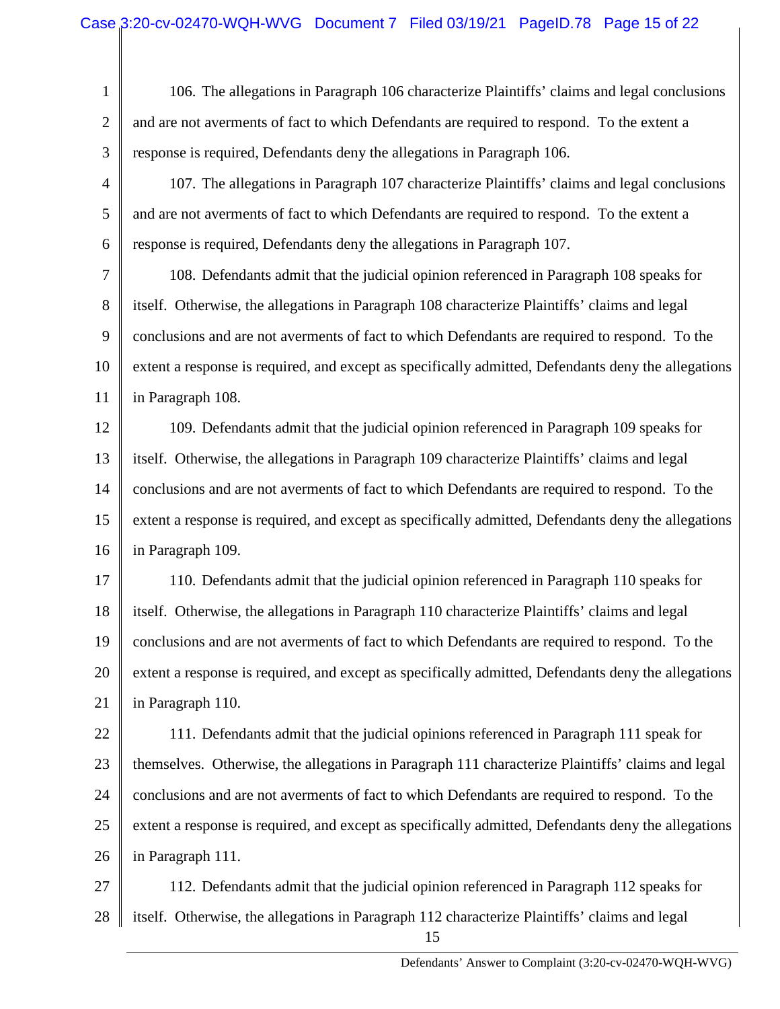1 2 3 106. The allegations in Paragraph 106 characterize Plaintiffs' claims and legal conclusions and are not averments of fact to which Defendants are required to respond. To the extent a response is required, Defendants deny the allegations in Paragraph 106.

4 5 6 107. The allegations in Paragraph 107 characterize Plaintiffs' claims and legal conclusions and are not averments of fact to which Defendants are required to respond. To the extent a response is required, Defendants deny the allegations in Paragraph 107.

7 8 9 10 11 108. Defendants admit that the judicial opinion referenced in Paragraph 108 speaks for itself. Otherwise, the allegations in Paragraph 108 characterize Plaintiffs' claims and legal conclusions and are not averments of fact to which Defendants are required to respond. To the extent a response is required, and except as specifically admitted, Defendants deny the allegations in Paragraph 108.

12 13 14 15 16 109. Defendants admit that the judicial opinion referenced in Paragraph 109 speaks for itself. Otherwise, the allegations in Paragraph 109 characterize Plaintiffs' claims and legal conclusions and are not averments of fact to which Defendants are required to respond. To the extent a response is required, and except as specifically admitted, Defendants deny the allegations in Paragraph 109.

17 18 19 20 21 110. Defendants admit that the judicial opinion referenced in Paragraph 110 speaks for itself. Otherwise, the allegations in Paragraph 110 characterize Plaintiffs' claims and legal conclusions and are not averments of fact to which Defendants are required to respond. To the extent a response is required, and except as specifically admitted, Defendants deny the allegations in Paragraph 110.

22 23 24 25 26 111. Defendants admit that the judicial opinions referenced in Paragraph 111 speak for themselves. Otherwise, the allegations in Paragraph 111 characterize Plaintiffs' claims and legal conclusions and are not averments of fact to which Defendants are required to respond. To the extent a response is required, and except as specifically admitted, Defendants deny the allegations in Paragraph 111.

27 28 112. Defendants admit that the judicial opinion referenced in Paragraph 112 speaks for itself. Otherwise, the allegations in Paragraph 112 characterize Plaintiffs' claims and legal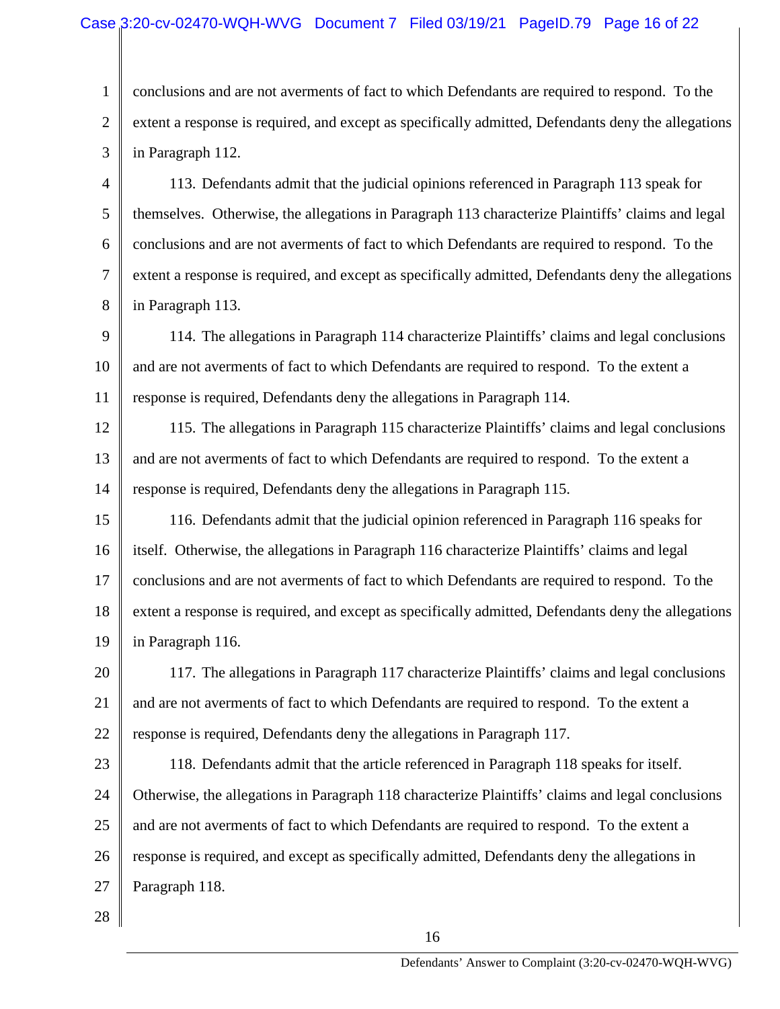1 2 3 conclusions and are not averments of fact to which Defendants are required to respond. To the extent a response is required, and except as specifically admitted, Defendants deny the allegations in Paragraph 112.

4 5 6 7 8 113. Defendants admit that the judicial opinions referenced in Paragraph 113 speak for themselves. Otherwise, the allegations in Paragraph 113 characterize Plaintiffs' claims and legal conclusions and are not averments of fact to which Defendants are required to respond. To the extent a response is required, and except as specifically admitted, Defendants deny the allegations in Paragraph 113.

9 10 11 114. The allegations in Paragraph 114 characterize Plaintiffs' claims and legal conclusions and are not averments of fact to which Defendants are required to respond. To the extent a response is required, Defendants deny the allegations in Paragraph 114.

12 13 14 115. The allegations in Paragraph 115 characterize Plaintiffs' claims and legal conclusions and are not averments of fact to which Defendants are required to respond. To the extent a response is required, Defendants deny the allegations in Paragraph 115.

15 16 17 18 19 116. Defendants admit that the judicial opinion referenced in Paragraph 116 speaks for itself. Otherwise, the allegations in Paragraph 116 characterize Plaintiffs' claims and legal conclusions and are not averments of fact to which Defendants are required to respond. To the extent a response is required, and except as specifically admitted, Defendants deny the allegations in Paragraph 116.

20 21 22 117. The allegations in Paragraph 117 characterize Plaintiffs' claims and legal conclusions and are not averments of fact to which Defendants are required to respond. To the extent a response is required, Defendants deny the allegations in Paragraph 117.

23 24 25 26 27 118. Defendants admit that the article referenced in Paragraph 118 speaks for itself. Otherwise, the allegations in Paragraph 118 characterize Plaintiffs' claims and legal conclusions and are not averments of fact to which Defendants are required to respond. To the extent a response is required, and except as specifically admitted, Defendants deny the allegations in Paragraph 118.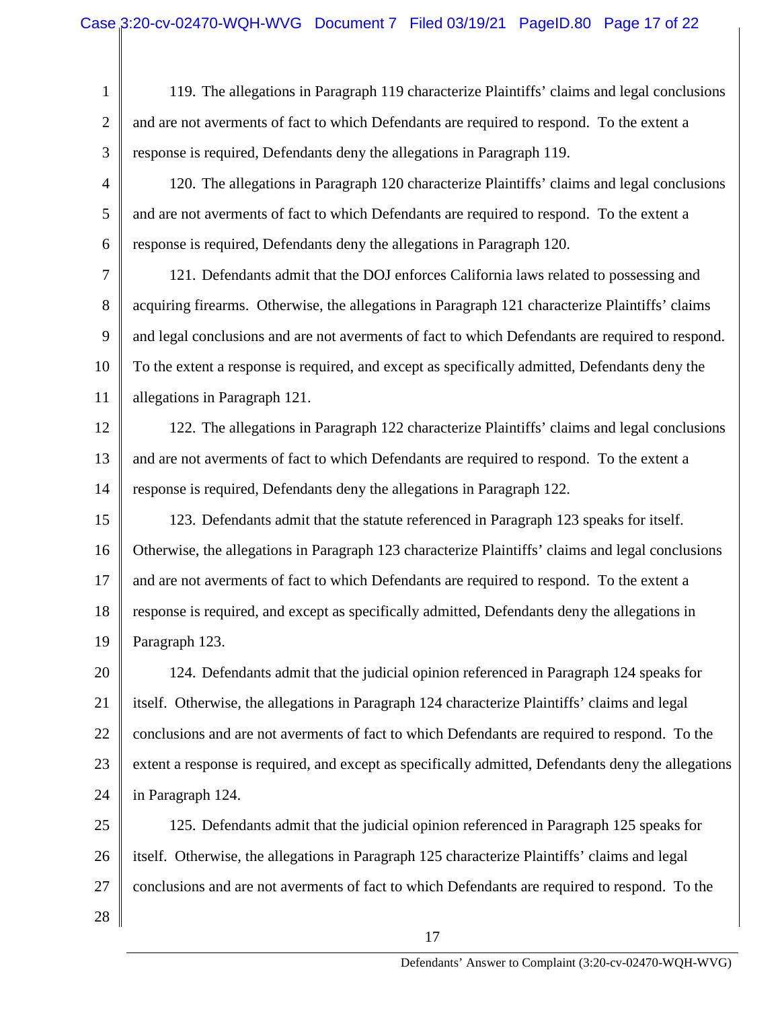1 2 3 4 5 6 7 8 9 10 11 12 13 14 15 16 17 18 19 20 21 22 23 24 25 26 27 28 119. The allegations in Paragraph 119 characterize Plaintiffs' claims and legal conclusions and are not averments of fact to which Defendants are required to respond. To the extent a response is required, Defendants deny the allegations in Paragraph 119. 120. The allegations in Paragraph 120 characterize Plaintiffs' claims and legal conclusions and are not averments of fact to which Defendants are required to respond. To the extent a response is required, Defendants deny the allegations in Paragraph 120. 121. Defendants admit that the DOJ enforces California laws related to possessing and acquiring firearms. Otherwise, the allegations in Paragraph 121 characterize Plaintiffs' claims and legal conclusions and are not averments of fact to which Defendants are required to respond. To the extent a response is required, and except as specifically admitted, Defendants deny the allegations in Paragraph 121. 122. The allegations in Paragraph 122 characterize Plaintiffs' claims and legal conclusions and are not averments of fact to which Defendants are required to respond. To the extent a response is required, Defendants deny the allegations in Paragraph 122. 123. Defendants admit that the statute referenced in Paragraph 123 speaks for itself. Otherwise, the allegations in Paragraph 123 characterize Plaintiffs' claims and legal conclusions and are not averments of fact to which Defendants are required to respond. To the extent a response is required, and except as specifically admitted, Defendants deny the allegations in Paragraph 123. 124. Defendants admit that the judicial opinion referenced in Paragraph 124 speaks for itself. Otherwise, the allegations in Paragraph 124 characterize Plaintiffs' claims and legal conclusions and are not averments of fact to which Defendants are required to respond. To the extent a response is required, and except as specifically admitted, Defendants deny the allegations in Paragraph 124. 125. Defendants admit that the judicial opinion referenced in Paragraph 125 speaks for itself. Otherwise, the allegations in Paragraph 125 characterize Plaintiffs' claims and legal conclusions and are not averments of fact to which Defendants are required to respond. To the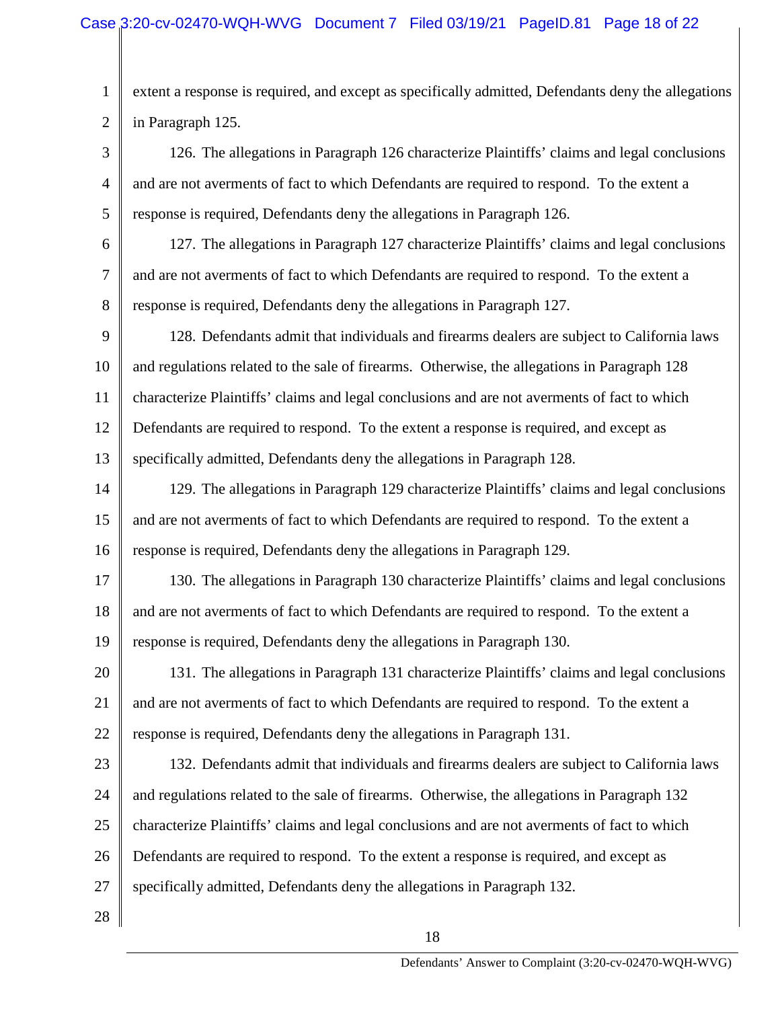1 2 extent a response is required, and except as specifically admitted, Defendants deny the allegations in Paragraph 125.

3 4 5 126. The allegations in Paragraph 126 characterize Plaintiffs' claims and legal conclusions and are not averments of fact to which Defendants are required to respond. To the extent a response is required, Defendants deny the allegations in Paragraph 126.

6 7 8 127. The allegations in Paragraph 127 characterize Plaintiffs' claims and legal conclusions and are not averments of fact to which Defendants are required to respond. To the extent a response is required, Defendants deny the allegations in Paragraph 127.

9 10 11 12 13 128. Defendants admit that individuals and firearms dealers are subject to California laws and regulations related to the sale of firearms. Otherwise, the allegations in Paragraph 128 characterize Plaintiffs' claims and legal conclusions and are not averments of fact to which Defendants are required to respond. To the extent a response is required, and except as specifically admitted, Defendants deny the allegations in Paragraph 128.

14 15 16 129. The allegations in Paragraph 129 characterize Plaintiffs' claims and legal conclusions and are not averments of fact to which Defendants are required to respond. To the extent a response is required, Defendants deny the allegations in Paragraph 129.

17 18 19 130. The allegations in Paragraph 130 characterize Plaintiffs' claims and legal conclusions and are not averments of fact to which Defendants are required to respond. To the extent a response is required, Defendants deny the allegations in Paragraph 130.

20 21 22 131. The allegations in Paragraph 131 characterize Plaintiffs' claims and legal conclusions and are not averments of fact to which Defendants are required to respond. To the extent a response is required, Defendants deny the allegations in Paragraph 131.

23 24 25 26 27 132. Defendants admit that individuals and firearms dealers are subject to California laws and regulations related to the sale of firearms. Otherwise, the allegations in Paragraph 132 characterize Plaintiffs' claims and legal conclusions and are not averments of fact to which Defendants are required to respond. To the extent a response is required, and except as specifically admitted, Defendants deny the allegations in Paragraph 132.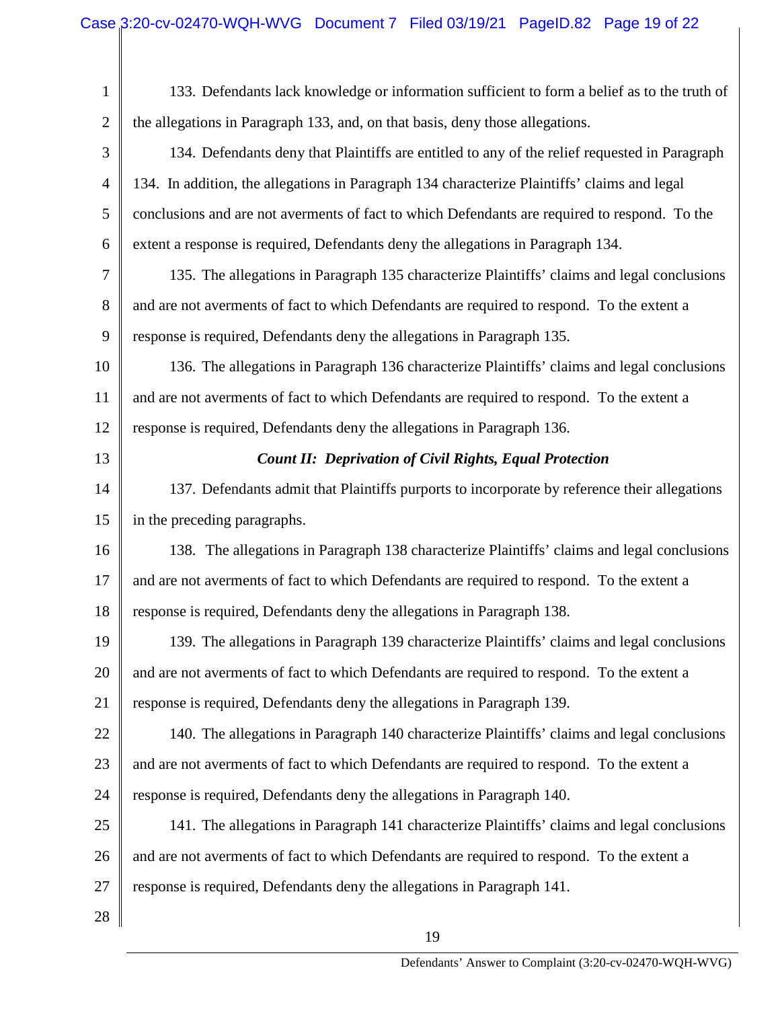| $\mathbf{1}$   | 133. Defendants lack knowledge or information sufficient to form a belief as to the truth of  |
|----------------|-----------------------------------------------------------------------------------------------|
| $\overline{2}$ | the allegations in Paragraph 133, and, on that basis, deny those allegations.                 |
| 3              | 134. Defendants deny that Plaintiffs are entitled to any of the relief requested in Paragraph |
| $\overline{4}$ | 134. In addition, the allegations in Paragraph 134 characterize Plaintiffs' claims and legal  |
| 5              | conclusions and are not averments of fact to which Defendants are required to respond. To the |
| 6              | extent a response is required, Defendants deny the allegations in Paragraph 134.              |
| 7              | 135. The allegations in Paragraph 135 characterize Plaintiffs' claims and legal conclusions   |
| 8              | and are not averments of fact to which Defendants are required to respond. To the extent a    |
| 9              | response is required, Defendants deny the allegations in Paragraph 135.                       |
| 10             | 136. The allegations in Paragraph 136 characterize Plaintiffs' claims and legal conclusions   |
| 11             | and are not averments of fact to which Defendants are required to respond. To the extent a    |
| 12             | response is required, Defendants deny the allegations in Paragraph 136.                       |
| 13             | <b>Count II: Deprivation of Civil Rights, Equal Protection</b>                                |
| 14             | 137. Defendants admit that Plaintiffs purports to incorporate by reference their allegations  |
| 15             | in the preceding paragraphs.                                                                  |
| 16             | 138. The allegations in Paragraph 138 characterize Plaintiffs' claims and legal conclusions   |
| 17             | and are not averments of fact to which Defendants are required to respond. To the extent a    |
| 18             | response is required, Defendants deny the allegations in Paragraph 138.                       |
| 19             | 139. The allegations in Paragraph 139 characterize Plaintiffs' claims and legal conclusions   |
| 20             | and are not averments of fact to which Defendants are required to respond. To the extent a    |
| 21             | response is required, Defendants deny the allegations in Paragraph 139.                       |
| 22             | 140. The allegations in Paragraph 140 characterize Plaintiffs' claims and legal conclusions   |
| 23             | and are not averments of fact to which Defendants are required to respond. To the extent a    |
| 24             | response is required, Defendants deny the allegations in Paragraph 140.                       |
| 25             | 141. The allegations in Paragraph 141 characterize Plaintiffs' claims and legal conclusions   |
| 26             | and are not averments of fact to which Defendants are required to respond. To the extent a    |
| 27             | response is required, Defendants deny the allegations in Paragraph 141.                       |
| 28             |                                                                                               |
|                | 1 <sub>O</sub>                                                                                |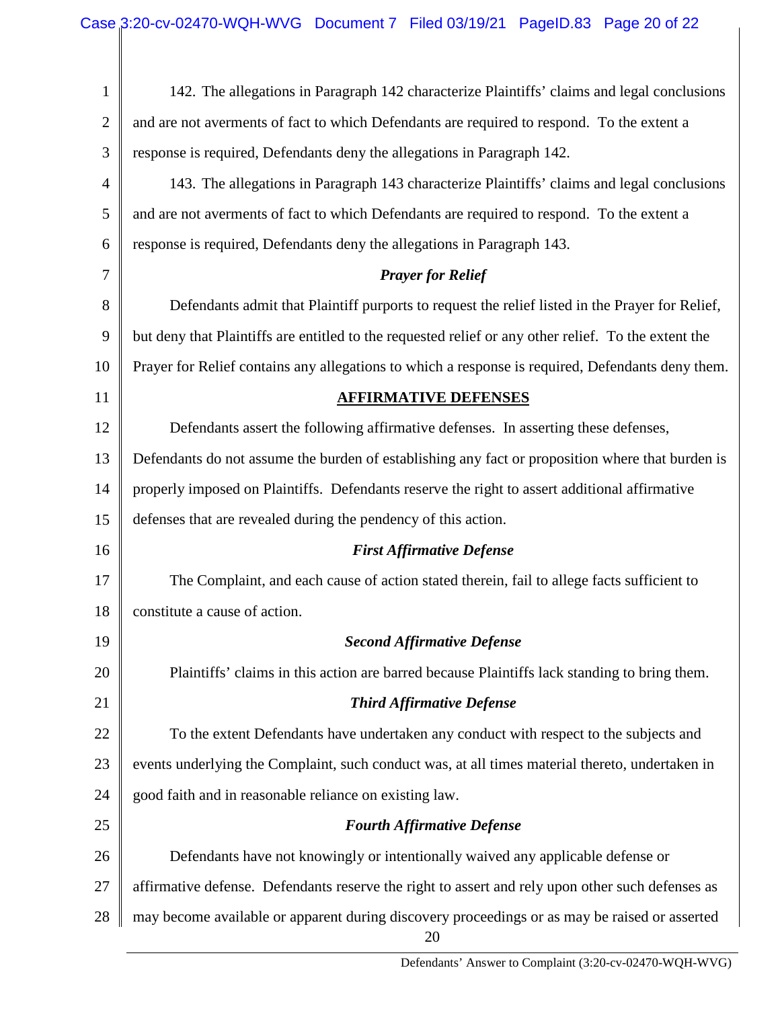| $\mathbf{1}$   | 142. The allegations in Paragraph 142 characterize Plaintiffs' claims and legal conclusions          |  |  |  |
|----------------|------------------------------------------------------------------------------------------------------|--|--|--|
| $\overline{c}$ | and are not averments of fact to which Defendants are required to respond. To the extent a           |  |  |  |
| 3              | response is required, Defendants deny the allegations in Paragraph 142.                              |  |  |  |
| 4              | 143. The allegations in Paragraph 143 characterize Plaintiffs' claims and legal conclusions          |  |  |  |
| 5              | and are not averments of fact to which Defendants are required to respond. To the extent a           |  |  |  |
| 6              | response is required, Defendants deny the allegations in Paragraph 143.                              |  |  |  |
| 7              | <b>Prayer for Relief</b>                                                                             |  |  |  |
| 8              | Defendants admit that Plaintiff purports to request the relief listed in the Prayer for Relief,      |  |  |  |
| 9              | but deny that Plaintiffs are entitled to the requested relief or any other relief. To the extent the |  |  |  |
| 10             | Prayer for Relief contains any allegations to which a response is required, Defendants deny them.    |  |  |  |
| 11             | <b>AFFIRMATIVE DEFENSES</b>                                                                          |  |  |  |
| 12             | Defendants assert the following affirmative defenses. In asserting these defenses,                   |  |  |  |
| 13             | Defendants do not assume the burden of establishing any fact or proposition where that burden is     |  |  |  |
| 14             | properly imposed on Plaintiffs. Defendants reserve the right to assert additional affirmative        |  |  |  |
| 15             | defenses that are revealed during the pendency of this action.                                       |  |  |  |
| 16             | <b>First Affirmative Defense</b>                                                                     |  |  |  |
| 17             | The Complaint, and each cause of action stated therein, fail to allege facts sufficient to           |  |  |  |
| 18             | constitute a cause of action.                                                                        |  |  |  |
| 19             | <b>Second Affirmative Defense</b>                                                                    |  |  |  |
| 20             | Plaintiffs' claims in this action are barred because Plaintiffs lack standing to bring them.         |  |  |  |
| 21             | <b>Third Affirmative Defense</b>                                                                     |  |  |  |
| 22             | To the extent Defendants have undertaken any conduct with respect to the subjects and                |  |  |  |
| 23             | events underlying the Complaint, such conduct was, at all times material thereto, undertaken in      |  |  |  |
| 24             | good faith and in reasonable reliance on existing law.                                               |  |  |  |
| 25             | <b>Fourth Affirmative Defense</b>                                                                    |  |  |  |
| 26             | Defendants have not knowingly or intentionally waived any applicable defense or                      |  |  |  |
| 27             | affirmative defense. Defendants reserve the right to assert and rely upon other such defenses as     |  |  |  |
| 28             | may become available or apparent during discovery proceedings or as may be raised or asserted<br>20  |  |  |  |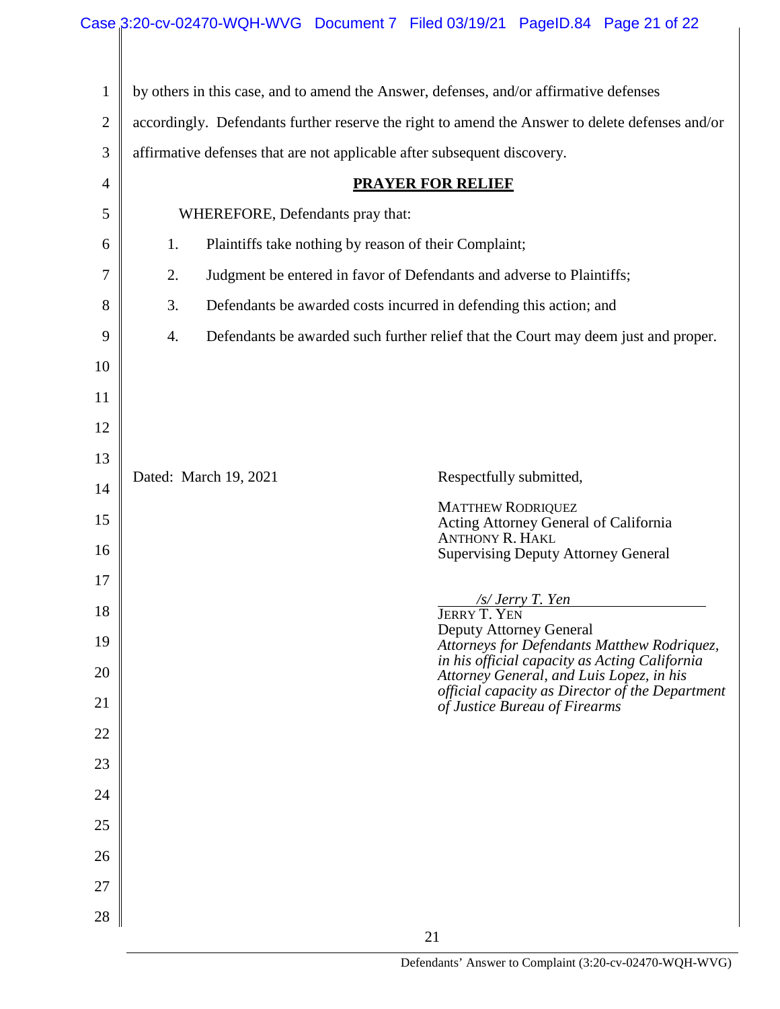| $\mathbf{1}$   | by others in this case, and to amend the Answer, defenses, and/or affirmative defenses                                                                                                                                 |                                                                                             |  |  |  |  |
|----------------|------------------------------------------------------------------------------------------------------------------------------------------------------------------------------------------------------------------------|---------------------------------------------------------------------------------------------|--|--|--|--|
| $\overline{2}$ | accordingly. Defendants further reserve the right to amend the Answer to delete defenses and/or                                                                                                                        |                                                                                             |  |  |  |  |
| 3              | affirmative defenses that are not applicable after subsequent discovery.                                                                                                                                               |                                                                                             |  |  |  |  |
| $\overline{4}$ | <b>PRAYER FOR RELIEF</b>                                                                                                                                                                                               |                                                                                             |  |  |  |  |
| 5              | WHEREFORE, Defendants pray that:                                                                                                                                                                                       |                                                                                             |  |  |  |  |
| 6              | Plaintiffs take nothing by reason of their Complaint;<br>1.                                                                                                                                                            |                                                                                             |  |  |  |  |
| 7              | Judgment be entered in favor of Defendants and adverse to Plaintiffs;<br>2.                                                                                                                                            |                                                                                             |  |  |  |  |
| 8              | 3.<br>Defendants be awarded costs incurred in defending this action; and                                                                                                                                               |                                                                                             |  |  |  |  |
| 9              | 4.<br>Defendants be awarded such further relief that the Court may deem just and proper.                                                                                                                               |                                                                                             |  |  |  |  |
| 10             |                                                                                                                                                                                                                        |                                                                                             |  |  |  |  |
| 11             |                                                                                                                                                                                                                        |                                                                                             |  |  |  |  |
| 12             |                                                                                                                                                                                                                        |                                                                                             |  |  |  |  |
| 13             |                                                                                                                                                                                                                        |                                                                                             |  |  |  |  |
| 14             |                                                                                                                                                                                                                        | Dated: March 19, 2021<br>Respectfully submitted,                                            |  |  |  |  |
| 15             |                                                                                                                                                                                                                        | <b>MATTHEW RODRIQUEZ</b><br>Acting Attorney General of California<br><b>ANTHONY R. HAKL</b> |  |  |  |  |
| 16             |                                                                                                                                                                                                                        | <b>Supervising Deputy Attorney General</b>                                                  |  |  |  |  |
| 17             |                                                                                                                                                                                                                        |                                                                                             |  |  |  |  |
| 18             | $/s/$ Jerry T. Yen<br><b>JERRY T. YEN</b>                                                                                                                                                                              |                                                                                             |  |  |  |  |
| 19             | Deputy Attorney General<br>Attorneys for Defendants Matthew Rodriquez,<br>in his official capacity as Acting California<br>Attorney General, and Luis Lopez, in his<br>official capacity as Director of the Department |                                                                                             |  |  |  |  |
| 20             |                                                                                                                                                                                                                        |                                                                                             |  |  |  |  |
| 21             |                                                                                                                                                                                                                        | of Justice Bureau of Firearms                                                               |  |  |  |  |
| 22             |                                                                                                                                                                                                                        |                                                                                             |  |  |  |  |
| 23             |                                                                                                                                                                                                                        |                                                                                             |  |  |  |  |
| 24             |                                                                                                                                                                                                                        |                                                                                             |  |  |  |  |
| 25             |                                                                                                                                                                                                                        |                                                                                             |  |  |  |  |
| 26             |                                                                                                                                                                                                                        |                                                                                             |  |  |  |  |
| 27             |                                                                                                                                                                                                                        |                                                                                             |  |  |  |  |
| 28             |                                                                                                                                                                                                                        | 21                                                                                          |  |  |  |  |
|                |                                                                                                                                                                                                                        |                                                                                             |  |  |  |  |